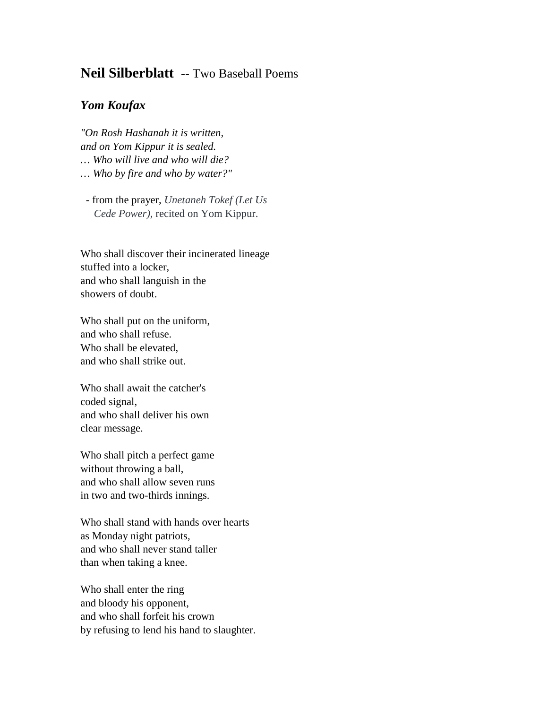## **Neil Silberblatt** -- Two Baseball Poems

## *Yom Koufax*

*"On Rosh Hashanah it is written, and on Yom Kippur it is sealed. … Who will live and who will die? … Who by fire and who by water?"*

- from the prayer, *Unetaneh Tokef (Let Us Cede Power),* recited on Yom Kippur.

Who shall discover their incinerated lineage stuffed into a locker, and who shall languish in the showers of doubt.

Who shall put on the uniform, and who shall refuse. Who shall be elevated, and who shall strike out.

Who shall await the catcher's coded signal, and who shall deliver his own clear message.

Who shall pitch a perfect game without throwing a ball, and who shall allow seven runs in two and two-thirds innings.

Who shall stand with hands over hearts as Monday night patriots, and who shall never stand taller than when taking a knee.

Who shall enter the ring and bloody his opponent, and who shall forfeit his crown by refusing to lend his hand to slaughter.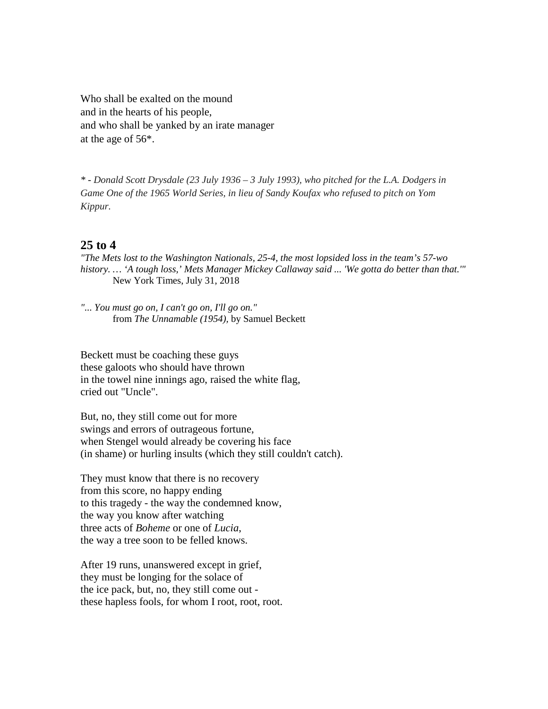Who shall be exalted on the mound and in the hearts of his people, and who shall be yanked by an irate manager at the age of 56\*.

*\* - Donald Scott Drysdale (23 July 1936 – 3 July 1993), who pitched for the L.A. Dodgers in Game One of the 1965 World Series, in lieu of Sandy Koufax who refused to pitch on Yom Kippur.* 

## **25 to 4**

*"The Mets lost to the Washington Nationals, 25-4, the most lopsided loss in the team's 57-wo history. … 'A tough loss,' Mets Manager Mickey Callaway said ... 'We gotta do better than that.'"* New York Times, July 31, 2018

*"... You must go on, I can't go on, I'll go on."* from *The Unnamable (1954),* by Samuel Beckett

Beckett must be coaching these guys these galoots who should have thrown in the towel nine innings ago, raised the white flag, cried out "Uncle".

But, no, they still come out for more swings and errors of outrageous fortune, when Stengel would already be covering his face (in shame) or hurling insults (which they still couldn't catch).

They must know that there is no recovery from this score, no happy ending to this tragedy - the way the condemned know, the way you know after watching three acts of *Boheme* or one of *Lucia*, the way a tree soon to be felled knows.

After 19 runs, unanswered except in grief, they must be longing for the solace of the ice pack, but, no, they still come out these hapless fools, for whom I root, root, root.